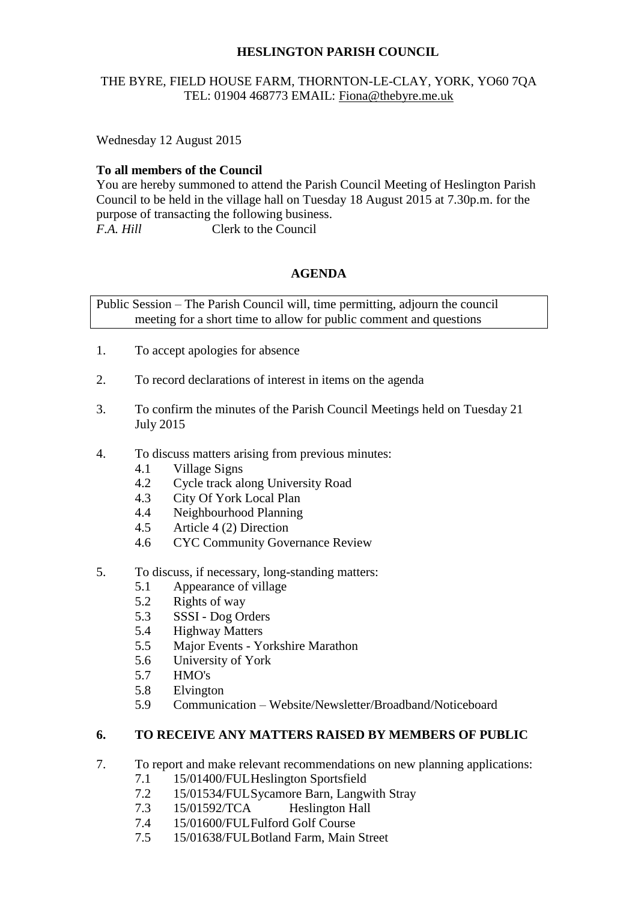## **HESLINGTON PARISH COUNCIL**

## THE BYRE, FIELD HOUSE FARM, THORNTON-LE-CLAY, YORK, YO60 7QA TEL: 01904 468773 EMAIL: [Fiona@thebyre.me.uk](mailto:Fiona@thebyre.me.uk)

Wednesday 12 August 2015

## **To all members of the Council**

You are hereby summoned to attend the Parish Council Meeting of Heslington Parish Council to be held in the village hall on Tuesday 18 August 2015 at 7.30p.m. for the purpose of transacting the following business. *F.A. Hill* Clerk to the Council

# **AGENDA**

Public Session – The Parish Council will, time permitting, adjourn the council meeting for a short time to allow for public comment and questions

- 1. To accept apologies for absence
- 2. To record declarations of interest in items on the agenda
- 3. To confirm the minutes of the Parish Council Meetings held on Tuesday 21 July 2015
- 4. To discuss matters arising from previous minutes:
	- 4.1 Village Signs
	- 4.2 Cycle track along University Road
	- 4.3 City Of York Local Plan
	- 4.4 Neighbourhood Planning
	- 4.5 Article 4 (2) Direction
	- 4.6 CYC Community Governance Review
- 5. To discuss, if necessary, long-standing matters:
	- 5.1 Appearance of village
	- 5.2 Rights of way
	- 5.3 SSSI Dog Orders
	- 5.4 Highway Matters
	- 5.5 Major Events Yorkshire Marathon
	- 5.6 University of York
	- 5.7 HMO's
	- 5.8 Elvington
	- 5.9 Communication Website/Newsletter/Broadband/Noticeboard

## **6. TO RECEIVE ANY MATTERS RAISED BY MEMBERS OF PUBLIC**

- 7. To report and make relevant recommendations on new planning applications:
	- 7.1 15/01400/FULHeslington Sportsfield
	- 7.2 15/01534/FULSycamore Barn, Langwith Stray
	- 7.3 15/01592/TCA Heslington Hall
	- 7.4 15/01600/FULFulford Golf Course
	- 7.5 15/01638/FULBotland Farm, Main Street